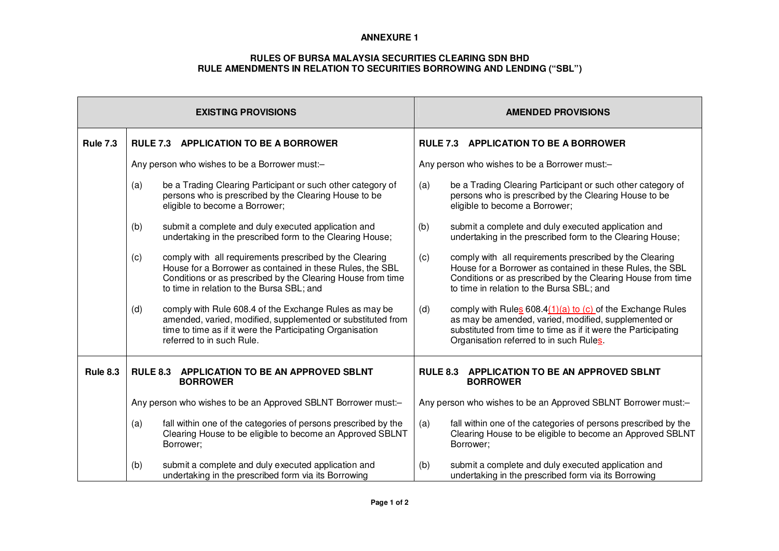## **ANNEXURE 1**

## **RULES OF BURSA MALAYSIA SECURITIES CLEARING SDN BHDRULE AMENDMENTS IN RELATION TO SECURITIES BORROWING AND LENDING ("SBL")**

| <b>EXISTING PROVISIONS</b> |                                                                                                                                                                                                                                         | <b>AMENDED PROVISIONS</b>                                                                                                                                                                                                               |  |
|----------------------------|-----------------------------------------------------------------------------------------------------------------------------------------------------------------------------------------------------------------------------------------|-----------------------------------------------------------------------------------------------------------------------------------------------------------------------------------------------------------------------------------------|--|
| <b>Rule 7.3</b>            | <b>RULE 7.3 APPLICATION TO BE A BORROWER</b>                                                                                                                                                                                            | <b>RULE 7.3 APPLICATION TO BE A BORROWER</b>                                                                                                                                                                                            |  |
|                            | Any person who wishes to be a Borrower must:-                                                                                                                                                                                           | Any person who wishes to be a Borrower must:-                                                                                                                                                                                           |  |
|                            | be a Trading Clearing Participant or such other category of<br>(a)<br>persons who is prescribed by the Clearing House to be<br>eligible to become a Borrower;                                                                           | be a Trading Clearing Participant or such other category of<br>(a)<br>persons who is prescribed by the Clearing House to be<br>eligible to become a Borrower;                                                                           |  |
|                            | submit a complete and duly executed application and<br>(b)<br>undertaking in the prescribed form to the Clearing House;                                                                                                                 | (b)<br>submit a complete and duly executed application and<br>undertaking in the prescribed form to the Clearing House;                                                                                                                 |  |
|                            | comply with all requirements prescribed by the Clearing<br>(c)<br>House for a Borrower as contained in these Rules, the SBL<br>Conditions or as prescribed by the Clearing House from time<br>to time in relation to the Bursa SBL; and | comply with all requirements prescribed by the Clearing<br>(c)<br>House for a Borrower as contained in these Rules, the SBL<br>Conditions or as prescribed by the Clearing House from time<br>to time in relation to the Bursa SBL; and |  |
|                            | comply with Rule 608.4 of the Exchange Rules as may be<br>(d)<br>amended, varied, modified, supplemented or substituted from<br>time to time as if it were the Participating Organisation<br>referred to in such Rule.                  | comply with Rules 608.4(1)(a) to (c) of the Exchange Rules<br>(d)<br>as may be amended, varied, modified, supplemented or<br>substituted from time to time as if it were the Participating<br>Organisation referred to in such Rules.   |  |
| <b>Rule 8.3</b>            | <b>RULE 8.3</b><br><b>APPLICATION TO BE AN APPROVED SBLNT</b><br><b>BORROWER</b>                                                                                                                                                        | <b>RULE 8.3</b><br>APPLICATION TO BE AN APPROVED SBLNT<br><b>BORROWER</b>                                                                                                                                                               |  |
|                            | Any person who wishes to be an Approved SBLNT Borrower must:-                                                                                                                                                                           | Any person who wishes to be an Approved SBLNT Borrower must:-                                                                                                                                                                           |  |
|                            | fall within one of the categories of persons prescribed by the<br>(a)<br>Clearing House to be eligible to become an Approved SBLNT<br>Borrower;                                                                                         | fall within one of the categories of persons prescribed by the<br>(a)<br>Clearing House to be eligible to become an Approved SBLNT<br>Borrower;                                                                                         |  |
|                            | submit a complete and duly executed application and<br>(b)<br>undertaking in the prescribed form via its Borrowing                                                                                                                      | submit a complete and duly executed application and<br>(b)<br>undertaking in the prescribed form via its Borrowing                                                                                                                      |  |